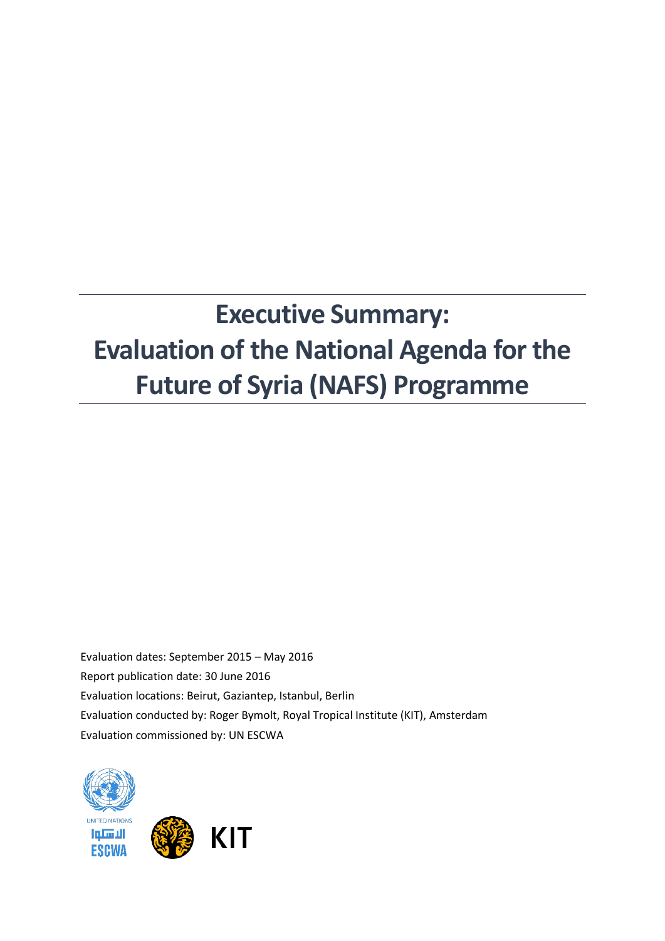# **Executive Summary: Evaluation of the National Agenda for the Future of Syria (NAFS) Programme**

Evaluation dates: September 2015 – May 2016 Report publication date: 30 June 2016 Evaluation locations: Beirut, Gaziantep, Istanbul, Berlin Evaluation conducted by: Roger Bymolt, Royal Tropical Institute (KIT), Amsterdam Evaluation commissioned by: UN ESCWA



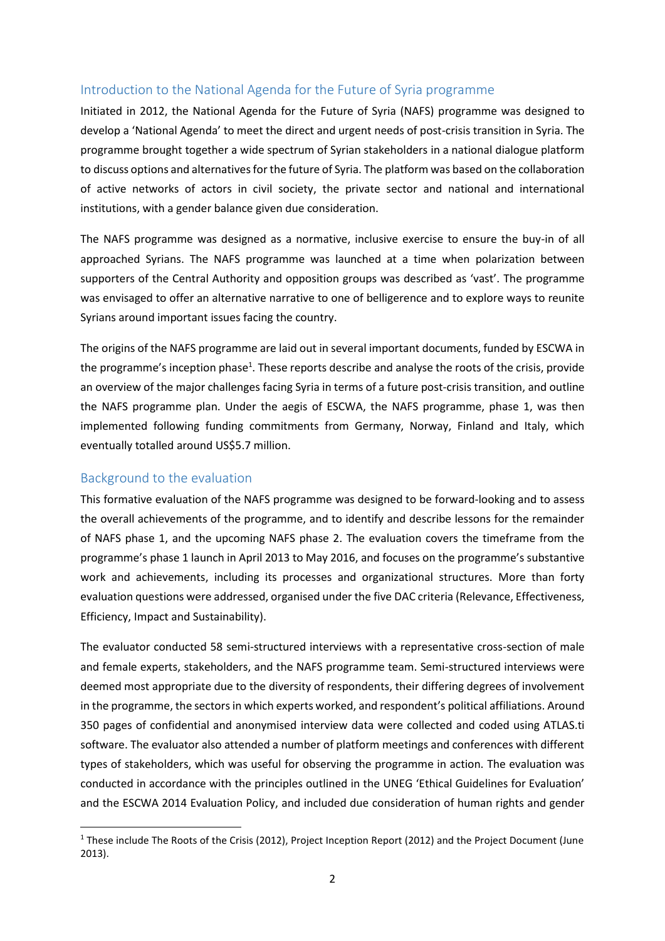# Introduction to the National Agenda for the Future of Syria programme

Initiated in 2012, the National Agenda for the Future of Syria (NAFS) programme was designed to develop a 'National Agenda' to meet the direct and urgent needs of post-crisis transition in Syria. The programme brought together a wide spectrum of Syrian stakeholders in a national dialogue platform to discuss options and alternatives for the future of Syria. The platform was based on the collaboration of active networks of actors in civil society, the private sector and national and international institutions, with a gender balance given due consideration.

The NAFS programme was designed as a normative, inclusive exercise to ensure the buy-in of all approached Syrians. The NAFS programme was launched at a time when polarization between supporters of the Central Authority and opposition groups was described as 'vast'. The programme was envisaged to offer an alternative narrative to one of belligerence and to explore ways to reunite Syrians around important issues facing the country.

The origins of the NAFS programme are laid out in several important documents, funded by ESCWA in the programme's inception phase<sup>1</sup>. These reports describe and analyse the roots of the crisis, provide an overview of the major challenges facing Syria in terms of a future post-crisis transition, and outline the NAFS programme plan. Under the aegis of ESCWA, the NAFS programme, phase 1, was then implemented following funding commitments from Germany, Norway, Finland and Italy, which eventually totalled around US\$5.7 million.

## Background to the evaluation

**.** 

This formative evaluation of the NAFS programme was designed to be forward-looking and to assess the overall achievements of the programme, and to identify and describe lessons for the remainder of NAFS phase 1, and the upcoming NAFS phase 2. The evaluation covers the timeframe from the programme's phase 1 launch in April 2013 to May 2016, and focuses on the programme's substantive work and achievements, including its processes and organizational structures. More than forty evaluation questions were addressed, organised under the five DAC criteria (Relevance, Effectiveness, Efficiency, Impact and Sustainability).

The evaluator conducted 58 semi-structured interviews with a representative cross-section of male and female experts, stakeholders, and the NAFS programme team. Semi-structured interviews were deemed most appropriate due to the diversity of respondents, their differing degrees of involvement in the programme, the sectors in which experts worked, and respondent's political affiliations. Around 350 pages of confidential and anonymised interview data were collected and coded using ATLAS.ti software. The evaluator also attended a number of platform meetings and conferences with different types of stakeholders, which was useful for observing the programme in action. The evaluation was conducted in accordance with the principles outlined in the UNEG 'Ethical Guidelines for Evaluation' and the ESCWA 2014 Evaluation Policy, and included due consideration of human rights and gender

<sup>&</sup>lt;sup>1</sup> These include The Roots of the Crisis (2012), Project Inception Report (2012) and the Project Document (June 2013).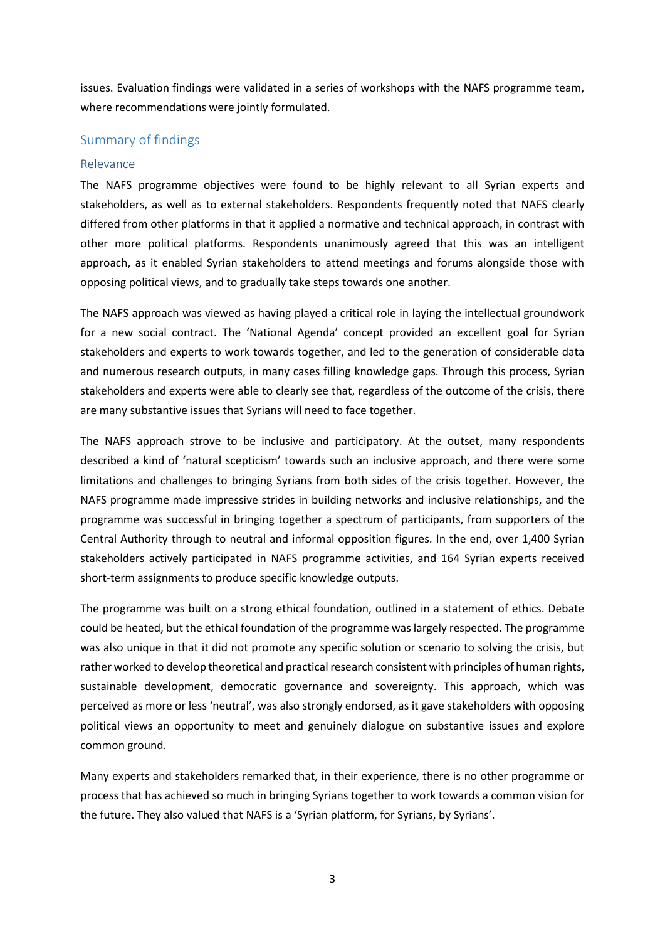issues. Evaluation findings were validated in a series of workshops with the NAFS programme team, where recommendations were jointly formulated.

## Summary of findings

#### Relevance

The NAFS programme objectives were found to be highly relevant to all Syrian experts and stakeholders, as well as to external stakeholders. Respondents frequently noted that NAFS clearly differed from other platforms in that it applied a normative and technical approach, in contrast with other more political platforms. Respondents unanimously agreed that this was an intelligent approach, as it enabled Syrian stakeholders to attend meetings and forums alongside those with opposing political views, and to gradually take steps towards one another.

The NAFS approach was viewed as having played a critical role in laying the intellectual groundwork for a new social contract. The 'National Agenda' concept provided an excellent goal for Syrian stakeholders and experts to work towards together, and led to the generation of considerable data and numerous research outputs, in many cases filling knowledge gaps. Through this process, Syrian stakeholders and experts were able to clearly see that, regardless of the outcome of the crisis, there are many substantive issues that Syrians will need to face together.

The NAFS approach strove to be inclusive and participatory. At the outset, many respondents described a kind of 'natural scepticism' towards such an inclusive approach, and there were some limitations and challenges to bringing Syrians from both sides of the crisis together. However, the NAFS programme made impressive strides in building networks and inclusive relationships, and the programme was successful in bringing together a spectrum of participants, from supporters of the Central Authority through to neutral and informal opposition figures. In the end, over 1,400 Syrian stakeholders actively participated in NAFS programme activities, and 164 Syrian experts received short-term assignments to produce specific knowledge outputs.

The programme was built on a strong ethical foundation, outlined in a statement of ethics. Debate could be heated, but the ethical foundation of the programme was largely respected. The programme was also unique in that it did not promote any specific solution or scenario to solving the crisis, but rather worked to develop theoretical and practical research consistent with principles of human rights, sustainable development, democratic governance and sovereignty. This approach, which was perceived as more or less 'neutral', was also strongly endorsed, as it gave stakeholders with opposing political views an opportunity to meet and genuinely dialogue on substantive issues and explore common ground.

Many experts and stakeholders remarked that, in their experience, there is no other programme or process that has achieved so much in bringing Syrians together to work towards a common vision for the future. They also valued that NAFS is a 'Syrian platform, for Syrians, by Syrians'.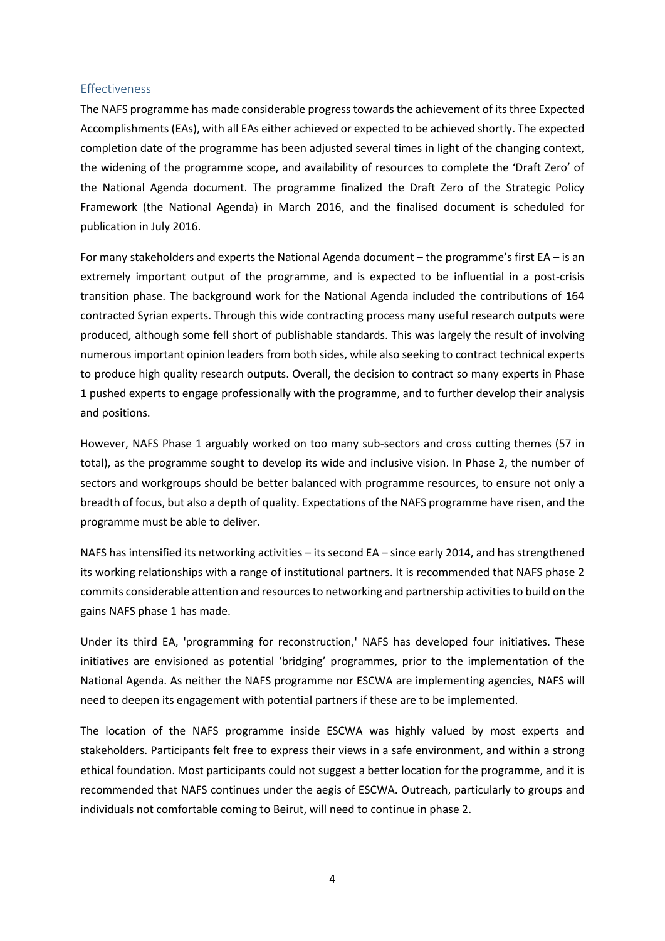## Effectiveness

The NAFS programme has made considerable progress towards the achievement of its three Expected Accomplishments (EAs), with all EAs either achieved or expected to be achieved shortly. The expected completion date of the programme has been adjusted several times in light of the changing context, the widening of the programme scope, and availability of resources to complete the 'Draft Zero' of the National Agenda document. The programme finalized the Draft Zero of the Strategic Policy Framework (the National Agenda) in March 2016, and the finalised document is scheduled for publication in July 2016.

For many stakeholders and experts the National Agenda document – the programme's first EA – is an extremely important output of the programme, and is expected to be influential in a post-crisis transition phase. The background work for the National Agenda included the contributions of 164 contracted Syrian experts. Through this wide contracting process many useful research outputs were produced, although some fell short of publishable standards. This was largely the result of involving numerous important opinion leaders from both sides, while also seeking to contract technical experts to produce high quality research outputs. Overall, the decision to contract so many experts in Phase 1 pushed experts to engage professionally with the programme, and to further develop their analysis and positions.

However, NAFS Phase 1 arguably worked on too many sub-sectors and cross cutting themes (57 in total), as the programme sought to develop its wide and inclusive vision. In Phase 2, the number of sectors and workgroups should be better balanced with programme resources, to ensure not only a breadth of focus, but also a depth of quality. Expectations of the NAFS programme have risen, and the programme must be able to deliver.

NAFS has intensified its networking activities – its second EA – since early 2014, and has strengthened its working relationships with a range of institutional partners. It is recommended that NAFS phase 2 commits considerable attention and resources to networking and partnership activities to build on the gains NAFS phase 1 has made.

Under its third EA, 'programming for reconstruction,' NAFS has developed four initiatives. These initiatives are envisioned as potential 'bridging' programmes, prior to the implementation of the National Agenda. As neither the NAFS programme nor ESCWA are implementing agencies, NAFS will need to deepen its engagement with potential partners if these are to be implemented.

The location of the NAFS programme inside ESCWA was highly valued by most experts and stakeholders. Participants felt free to express their views in a safe environment, and within a strong ethical foundation. Most participants could not suggest a better location for the programme, and it is recommended that NAFS continues under the aegis of ESCWA. Outreach, particularly to groups and individuals not comfortable coming to Beirut, will need to continue in phase 2.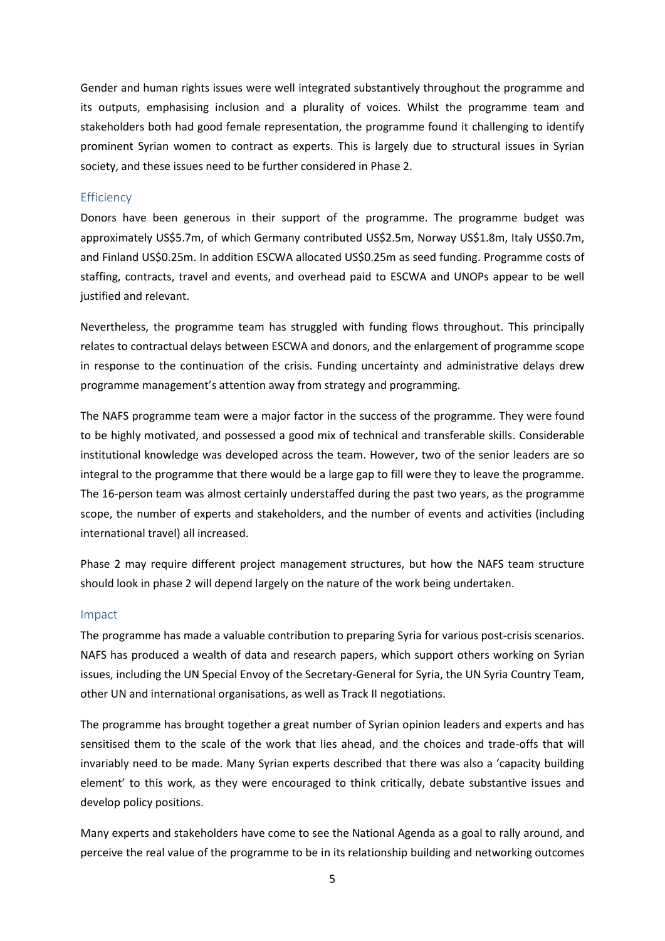Gender and human rights issues were well integrated substantively throughout the programme and its outputs, emphasising inclusion and a plurality of voices. Whilst the programme team and stakeholders both had good female representation, the programme found it challenging to identify prominent Syrian women to contract as experts. This is largely due to structural issues in Syrian society, and these issues need to be further considered in Phase 2.

#### **Efficiency**

Donors have been generous in their support of the programme. The programme budget was approximately US\$5.7m, of which Germany contributed US\$2.5m, Norway US\$1.8m, Italy US\$0.7m, and Finland US\$0.25m. In addition ESCWA allocated US\$0.25m as seed funding. Programme costs of staffing, contracts, travel and events, and overhead paid to ESCWA and UNOPs appear to be well justified and relevant.

Nevertheless, the programme team has struggled with funding flows throughout. This principally relates to contractual delays between ESCWA and donors, and the enlargement of programme scope in response to the continuation of the crisis. Funding uncertainty and administrative delays drew programme management's attention away from strategy and programming.

The NAFS programme team were a major factor in the success of the programme. They were found to be highly motivated, and possessed a good mix of technical and transferable skills. Considerable institutional knowledge was developed across the team. However, two of the senior leaders are so integral to the programme that there would be a large gap to fill were they to leave the programme. The 16-person team was almost certainly understaffed during the past two years, as the programme scope, the number of experts and stakeholders, and the number of events and activities (including international travel) all increased.

Phase 2 may require different project management structures, but how the NAFS team structure should look in phase 2 will depend largely on the nature of the work being undertaken.

#### Impact

The programme has made a valuable contribution to preparing Syria for various post-crisis scenarios. NAFS has produced a wealth of data and research papers, which support others working on Syrian issues, including the UN Special Envoy of the Secretary-General for Syria, the UN Syria Country Team, other UN and international organisations, as well as Track II negotiations.

The programme has brought together a great number of Syrian opinion leaders and experts and has sensitised them to the scale of the work that lies ahead, and the choices and trade-offs that will invariably need to be made. Many Syrian experts described that there was also a 'capacity building element' to this work, as they were encouraged to think critically, debate substantive issues and develop policy positions.

Many experts and stakeholders have come to see the National Agenda as a goal to rally around, and perceive the real value of the programme to be in its relationship building and networking outcomes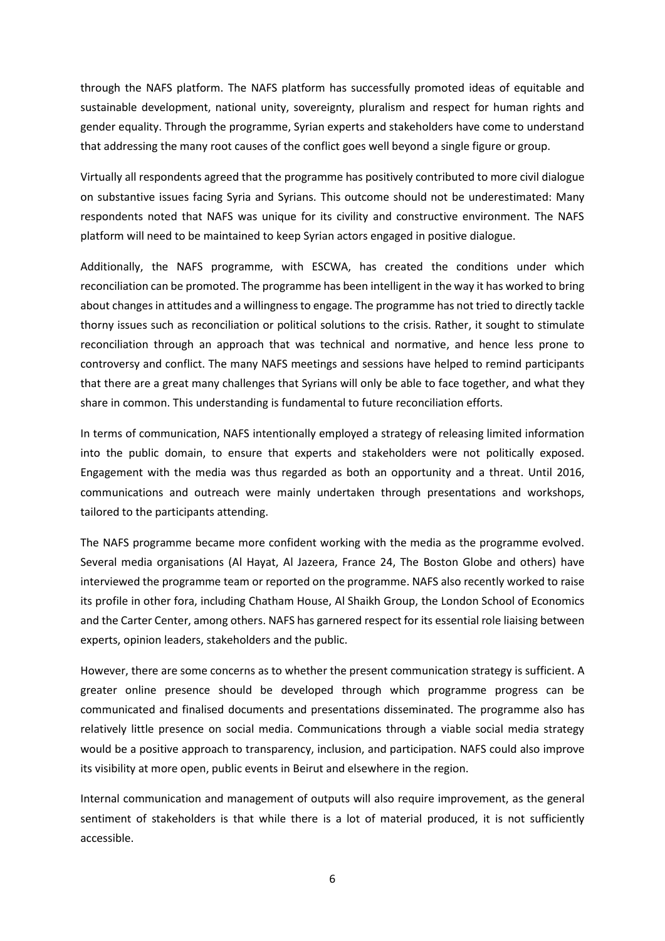through the NAFS platform. The NAFS platform has successfully promoted ideas of equitable and sustainable development, national unity, sovereignty, pluralism and respect for human rights and gender equality. Through the programme, Syrian experts and stakeholders have come to understand that addressing the many root causes of the conflict goes well beyond a single figure or group.

Virtually all respondents agreed that the programme has positively contributed to more civil dialogue on substantive issues facing Syria and Syrians. This outcome should not be underestimated: Many respondents noted that NAFS was unique for its civility and constructive environment. The NAFS platform will need to be maintained to keep Syrian actors engaged in positive dialogue.

Additionally, the NAFS programme, with ESCWA, has created the conditions under which reconciliation can be promoted. The programme has been intelligent in the way it has worked to bring about changes in attitudes and a willingness to engage. The programme has not tried to directly tackle thorny issues such as reconciliation or political solutions to the crisis. Rather, it sought to stimulate reconciliation through an approach that was technical and normative, and hence less prone to controversy and conflict. The many NAFS meetings and sessions have helped to remind participants that there are a great many challenges that Syrians will only be able to face together, and what they share in common. This understanding is fundamental to future reconciliation efforts.

In terms of communication, NAFS intentionally employed a strategy of releasing limited information into the public domain, to ensure that experts and stakeholders were not politically exposed. Engagement with the media was thus regarded as both an opportunity and a threat. Until 2016, communications and outreach were mainly undertaken through presentations and workshops, tailored to the participants attending.

The NAFS programme became more confident working with the media as the programme evolved. Several media organisations (Al Hayat, Al Jazeera, France 24, The Boston Globe and others) have interviewed the programme team or reported on the programme. NAFS also recently worked to raise its profile in other fora, including Chatham House, Al Shaikh Group, the London School of Economics and the Carter Center, among others. NAFS has garnered respect for its essential role liaising between experts, opinion leaders, stakeholders and the public.

However, there are some concerns as to whether the present communication strategy is sufficient. A greater online presence should be developed through which programme progress can be communicated and finalised documents and presentations disseminated. The programme also has relatively little presence on social media. Communications through a viable social media strategy would be a positive approach to transparency, inclusion, and participation. NAFS could also improve its visibility at more open, public events in Beirut and elsewhere in the region.

Internal communication and management of outputs will also require improvement, as the general sentiment of stakeholders is that while there is a lot of material produced, it is not sufficiently accessible.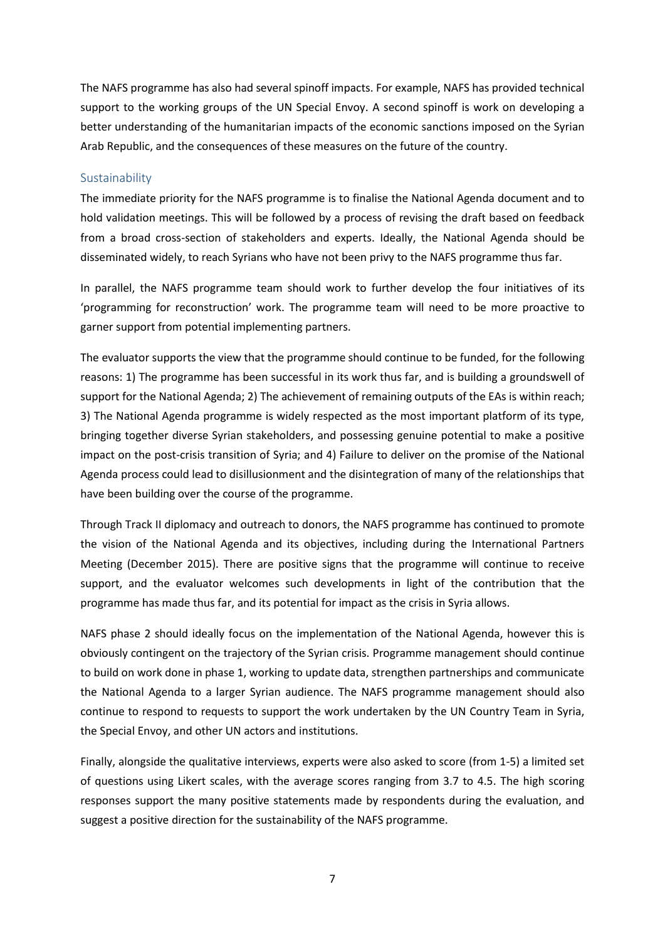The NAFS programme has also had several spinoff impacts. For example, NAFS has provided technical support to the working groups of the UN Special Envoy. A second spinoff is work on developing a better understanding of the humanitarian impacts of the economic sanctions imposed on the Syrian Arab Republic, and the consequences of these measures on the future of the country.

#### Sustainability

The immediate priority for the NAFS programme is to finalise the National Agenda document and to hold validation meetings. This will be followed by a process of revising the draft based on feedback from a broad cross-section of stakeholders and experts. Ideally, the National Agenda should be disseminated widely, to reach Syrians who have not been privy to the NAFS programme thus far.

In parallel, the NAFS programme team should work to further develop the four initiatives of its 'programming for reconstruction' work. The programme team will need to be more proactive to garner support from potential implementing partners.

The evaluator supports the view that the programme should continue to be funded, for the following reasons: 1) The programme has been successful in its work thus far, and is building a groundswell of support for the National Agenda; 2) The achievement of remaining outputs of the EAs is within reach; 3) The National Agenda programme is widely respected as the most important platform of its type, bringing together diverse Syrian stakeholders, and possessing genuine potential to make a positive impact on the post-crisis transition of Syria; and 4) Failure to deliver on the promise of the National Agenda process could lead to disillusionment and the disintegration of many of the relationships that have been building over the course of the programme.

Through Track II diplomacy and outreach to donors, the NAFS programme has continued to promote the vision of the National Agenda and its objectives, including during the International Partners Meeting (December 2015). There are positive signs that the programme will continue to receive support, and the evaluator welcomes such developments in light of the contribution that the programme has made thus far, and its potential for impact as the crisis in Syria allows.

NAFS phase 2 should ideally focus on the implementation of the National Agenda, however this is obviously contingent on the trajectory of the Syrian crisis. Programme management should continue to build on work done in phase 1, working to update data, strengthen partnerships and communicate the National Agenda to a larger Syrian audience. The NAFS programme management should also continue to respond to requests to support the work undertaken by the UN Country Team in Syria, the Special Envoy, and other UN actors and institutions.

Finally, alongside the qualitative interviews, experts were also asked to score (from 1-5) a limited set of questions using Likert scales, with the average scores ranging from 3.7 to 4.5. The high scoring responses support the many positive statements made by respondents during the evaluation, and suggest a positive direction for the sustainability of the NAFS programme.

7